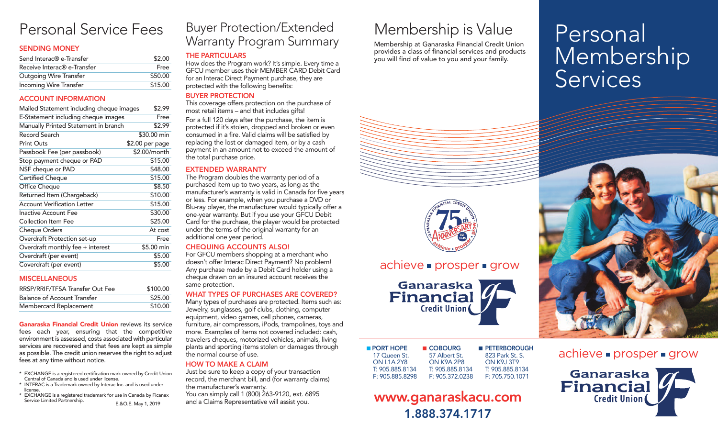# Personal Service Fees

## SENDING MONEY

| Send Interac® e-Transfer                | \$2.00  |
|-----------------------------------------|---------|
| Receive Interac <sup>®</sup> e-Transfer | Free    |
| <b>Outgoing Wire Transfer</b>           | \$50.00 |
| Incoming Wire Transfer                  | \$15.00 |

## ACCOUNT INFORMATION

| Mailed Statement including cheque images | \$2.99          |
|------------------------------------------|-----------------|
| E-Statement including cheque images      | Free            |
| Manually Printed Statement in branch     | \$2.99          |
| Record Search                            | \$30.00 min     |
| <b>Print Outs</b>                        | \$2.00 per page |
| Passbook Fee (per passbook)              | \$2.00/month    |
| Stop payment cheque or PAD               | \$15.00         |
| NSF cheque or PAD                        | \$48.00         |
| <b>Certified Cheque</b>                  | \$15.00         |
| Office Cheque                            | \$8.50          |
| Returned Item (Chargeback)               | \$10.00         |
| <b>Account Verification Letter</b>       | \$15.00         |
| <b>Inactive Account Fee</b>              | \$30.00         |
| Collection Item Fee                      | \$25.00         |
| <b>Cheque Orders</b>                     | At cost         |
| Overdraft Protection set-up              | Free            |
| Overdraft monthly fee + interest         | \$5.00 min      |
| Overdraft (per event)                    | \$5.00          |
| Coverdraft (per event)                   | \$5.00          |

## **MISCELLANEOUS**

| RRSP/RRIF/TFSA Transfer Out Fee    | \$100.00 |
|------------------------------------|----------|
| <b>Balance of Account Transfer</b> | \$25.00  |
| Membercard Replacement             | \$10.00  |

Ganaraska Financial Credit Union reviews its service fees each year, ensuring that the competitive environment is assessed, costs associated with particular services are recovered and that fees are kept as simple as possible. The credit union reserves the right to adjust fees at any time without notice.

- \* EXCHANGE is a registered certification mark owned by Credit Union Central of Canada and is used under license.
- \* INTERAC is a Trademark owned by Interac Inc. and is used under license.
- \* EXCHANGE is a registered trademark for use in Canada by Ficanex Service Limited Partnership. E.&O.E. May 1, <sup>2019</sup>

# Buyer Protection/Extended Warranty Program Summary

# THE PARTICULARS

How does the Program work? It's simple. Every time a GFCU member uses their MEMBER CARD Debit Card for an Interac Direct Payment purchase, they are protected with the following benefits:

#### BUYER PROTECTION

This coverage offers protection on the purchase of most retail items – and that includes gifts!

For a full 120 days after the purchase, the item is protected if it's stolen, dropped and broken or even consumed in a fire. Valid claims will be satisfied by replacing the lost or damaged item, or by a cash payment in an amount not to exceed the amount of the total purchase price.

## EXTENDED WARRANTY

The Program doubles the warranty period of a purchased item up to two years, as long as the manufacturer's warranty is valid in Canada for five years or less. For example, when you purchase a DVD or Blu-ray player, the manufacturer would typically offer a one-year warranty. But if you use your GFCU Debit Card for the purchase, the player would be protected under the terms of the original warranty for an additional one year period.

## CHEQUING ACCOUNTS ALSO!

For GFCU members shopping at a merchant who doesn't offer Interac Direct Payment? No problem! Any purchase made by a Debit Card holder using a cheque drawn on an insured account receives the same protection.

## WHAT TYPES OF PURCHASES ARE COVERED?

Many types of purchases are protected. Items such as: Jewelry, sunglasses, golf clubs, clothing, computer equipment, video games, cell phones, cameras, furniture, air compressors, iPods, trampolines, toys and more. Examples of items not covered included: cash, travelers cheques, motorized vehicles, animals, living plants and sporting items stolen or damages through the normal course of use.

# HOW TO MAKE A CLAIM

Just be sure to keep a copy of your transaction record, the merchant bill, and (for warranty claims) the manufacturer's warranty. You can simply call 1 (800) 263-9120, ext. 6895 and a Claims Representative will assist you.

# Membership is Value

Membership at Ganaraska Financial Credit Union provides a class of financial services and products you will find of value to you and your family.



# $achieve \nightharpoonup$  prosper  $\blacktriangleright$  grow

Ganaraska<br>Financial **Credit Union** 

| ■ COBOURG       | <b>PETERBOROUGH</b> |
|-----------------|---------------------|
| 57 Albert St.   | 823 Park St. S.     |
| ON K9A 2P8      | <b>ON K9.I 3T9</b>  |
| T: 905.885.8134 | T: 905.885.8134     |
| F: 905.372.0238 | F: 705.750.1071     |
|                 |                     |

# www.ganaraskacu.com 1.888.374.1717

# Personal Membership



achieve **prosper** grow